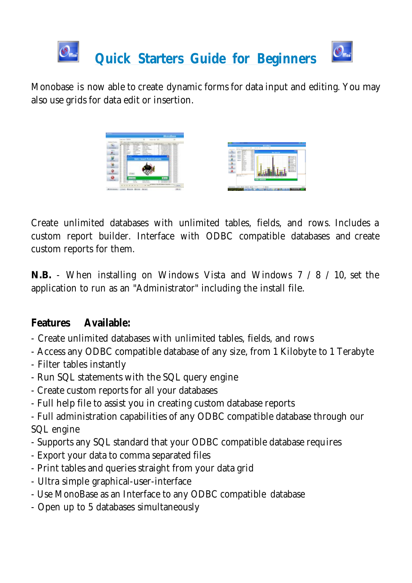

Monobase is now able to create dynamic forms for data input and editing. You may also use grids for data edit or insertion.



Create unlimited databases with unlimited tables, fields, and rows. Includes a custom report builder. Interface with ODBC compatible databases and create custom reports for them.

**N.B.** - When installing on Windows Vista and Windows 7 / 8 / 10, set the application to run as an "Administrator" including the install file.

### **Features Available:**

- Create unlimited databases with unlimited tables, fields, and rows
- Access any ODBC compatible database of any size, from 1 Kilobyte to 1 Terabyte
- Filter tables instantly
- Run SQL statements with the SQL query engine
- Create custom reports for all your databases
- Full help file to assist you in creating custom database reports
- Full administration capabilities of any ODBC compatible database through our SQL engine
- Supports any SQL standard that your ODBC compatible database requires
- Export your data to comma separated files
- Print tables and queries straight from your data grid
- Ultra simple graphical-user-interface
- Use MonoBase as an Interface to any ODBC compatible database
- Open up to 5 databases simultaneously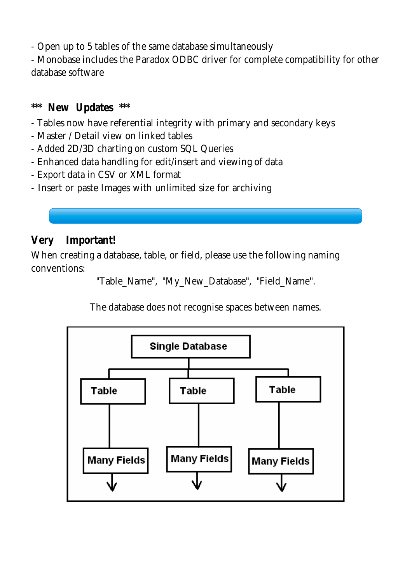- Open up to 5 tables of the same database simultaneously

- Monobase includes the Paradox ODBC driver for complete compatibility for other database software

#### **\*\*\* New Updates \*\*\***

- Tables now have referential integrity with primary and secondary keys
- Master / Detail view on linked tables
- Added 2D/3D charting on custom SQL Queries
- Enhanced data handling for edit/insert and viewing of data
- Export data in CSV or XML format
- Insert or paste Images with unlimited size for archiving

# **Very Important!**

When creating a database, table, or field, please use the following naming conventions:

"Table\_Name", "My\_New\_Database", "Field\_Name".

The database does not recognise spaces between names.

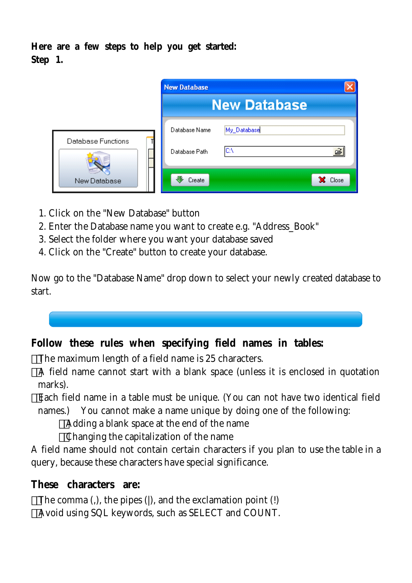**Here are a few steps to help you get started: Step 1.**

|                         | <b>New Database</b>            |                     |         |
|-------------------------|--------------------------------|---------------------|---------|
|                         |                                | <b>New Database</b> |         |
| Database Functions<br>П | Database Name<br>Database Path | My_Database<br>lC:\ | ê       |
| New Database            | Create                         |                     | X Close |

- 1. Click on the "New Database" button
- 2. Enter the Database name you want to create e.g. "Address\_Book"
- 3. Select the folder where you want your database saved
- 4. Click on the "Create" button to create your database.

Now go to the "Database Name" drop down to select your newly created database to start.



**Follow these rules when specifying field names in tables:**

The maximum length of a field name is 25 characters.

A field name cannot start with a blank space (unless it is enclosed in quotation marks).

Each field name in a table must be unique. (You can not have two identical field names.) You cannot make a name unique by doing one of the following:

Adding a blank space at the end of the name

Changing the capitalization of the name

A field name should not contain certain characters if you plan to use the table in a query, because these characters have special significance.

**These characters are:**

The comma (,), the pipes (|), and the exclamation point (!) Avoid using SQL keywords, such as SELECT and COUNT.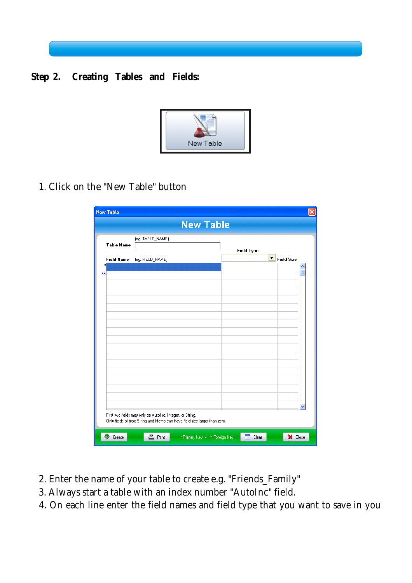



1. Click on the "New Table" button

|                   |                                                                           | <b>New Table</b>  |  |
|-------------------|---------------------------------------------------------------------------|-------------------|--|
| <b>Table Name</b> | (eg. TABLE_NAME)                                                          | <b>Field Type</b> |  |
| <b>Field Name</b> | (eg. FIELD_NAME)                                                          | Field Size        |  |
| ж                 |                                                                           |                   |  |
| **                |                                                                           |                   |  |
|                   |                                                                           |                   |  |
|                   |                                                                           |                   |  |
|                   |                                                                           |                   |  |
|                   |                                                                           |                   |  |
|                   |                                                                           |                   |  |
|                   |                                                                           |                   |  |
|                   |                                                                           |                   |  |
|                   |                                                                           |                   |  |
|                   |                                                                           |                   |  |
|                   |                                                                           |                   |  |
|                   |                                                                           |                   |  |
|                   |                                                                           |                   |  |
|                   |                                                                           |                   |  |
|                   | First two fields may only be AutoInc, Integer, or String.                 |                   |  |
|                   | Only fields of type String and Memo can have field size larger than zero. |                   |  |

- 2. Enter the name of your table to create e.g. "Friends\_Family"
- 3. Always start a table with an index number "AutoInc" field.
- 4. On each line enter the field names and field type that you want to save in you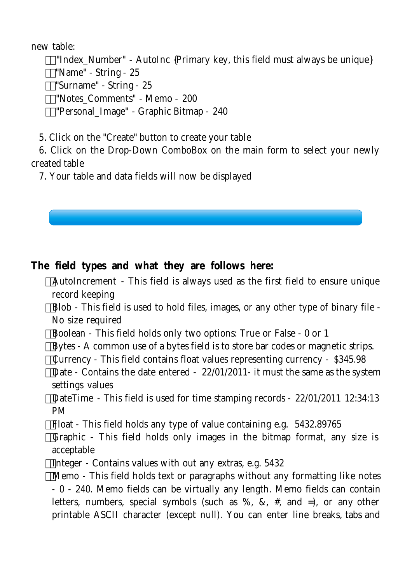new table:

 "Index\_Number" - AutoInc {Primary key, this field must always be unique} "Name" - String - 25 "Surname" - String - 25 "Notes\_Comments" - Memo - 200 "Personal\_Image" - Graphic Bitmap - 240

5. Click on the "Create" button to create your table

 6. Click on the Drop-Down ComboBox on the main form to select your newly created table

7. Your table and data fields will now be displayed



**The field types and what they are follows here:**

AutoIncrement - This field is always used as the first field to ensure unique record keeping

Blob - This field is used to hold files, images, or any other type of binary file - No size required

Boolean - This field holds only two options: True or False - 0 or 1

Bytes - A common use of a bytes field is to store bar codes or magnetic strips.

Currency - This field contains float values representing currency - \$345.98

Date - Contains the date entered - 22/01/2011- it must the same as the system settings values

DateTime - This field is used for time stamping records - 22/01/2011 12:34:13 PM

Float - This field holds any type of value containing e.g. 5432.89765

Graphic - This field holds only images in the bitmap format, any size is acceptable

Integer - Contains values with out any extras, e.g. 5432

Memo - This field holds text or paragraphs without any formatting like notes - 0 - 240. Memo fields can be virtually any length. Memo fields can contain letters, numbers, special symbols (such as  $\%$ ,  $\&$ ,  $\#$ , and  $=$ ), or any other printable ASCII character (except null). You can enter line breaks, tabs and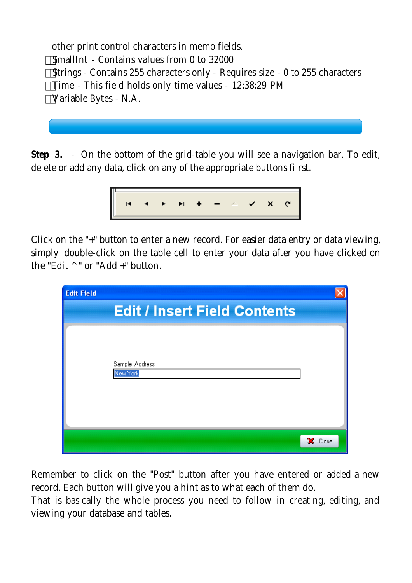other print control characters in memo fields. SmallInt - Contains values from 0 to 32000 Strings - Contains 255 characters only - Requires size - 0 to 255 characters Time - This field holds only time values - 12:38:29 PM Variable Bytes - N.A.

**Step 3.** - On the bottom of the grid-table you will see a navigation bar. To edit, delete or add any data, click on any of the appropriate buttons fi rst.



Click on the "+" button to enter a new record. For easier data entry or data viewing, simply double-click on the table cell to enter your data after you have clicked on the "Edit ^ " or "Add +" button.

| <b>Edit Field</b> |                                     |         |
|-------------------|-------------------------------------|---------|
|                   | <b>Edit / Insert Field Contents</b> |         |
|                   | Sample_Address<br>New York          |         |
|                   |                                     | X Close |

Remember to click on the "Post" button after you have entered or added a new record. Each button will give you a hint as to what each of them do.

That is basically the whole process you need to follow in creating, editing, and viewing your database and tables.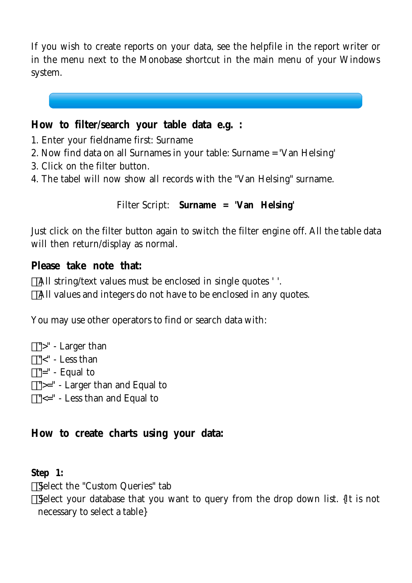If you wish to create reports on your data, see the helpfile in the report writer or in the menu next to the Monobase shortcut in the main menu of your Windows system.

**How to filter/search your table data e.g. :**

- 1. Enter your fieldname first: Surname
- 2. Now find data on all Surnames in your table: Surname = 'Van Helsing'
- 3. Click on the filter button.
- 4. The tabel will now show all records with the "Van Helsing" surname.

Filter Script: **Surname = 'Van Helsing'**

Just click on the filter button again to switch the filter engine off. All the table data will then return/display as normal.

**Please take note that:**

All string/text values must be enclosed in single quotes ' '.

All values and integers do not have to be enclosed in any quotes.

You may use other operators to find or search data with:

- ">" Larger than
- "<" Less than
- "=" Equal to
- ">=" Larger than and Equal to
- "<=" Less than and Equal to

**How to create charts using your data:**

**Step 1:**

Select the "Custom Queries" tab

Select your database that you want to query from the drop down list. {It is not necessary to select a table}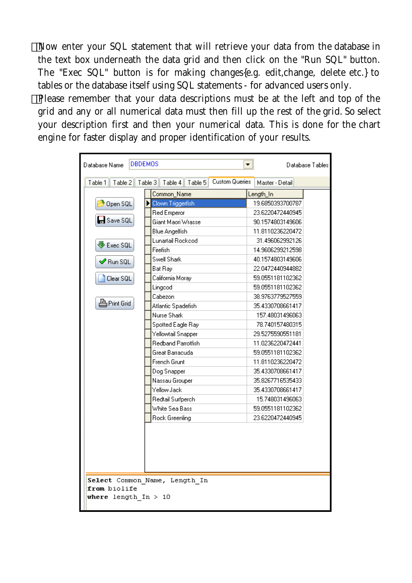Now enter your SQL statement that will retrieve your data from the database in the text box underneath the data grid and then click on the "Run SQL" button. The "Exec SQL" button is for making changes{e.g. edit,change, delete etc.} to tables or the database itself using SQL statements - for advanced users only. Please remember that your data descriptions must be at the left and top of the grid and any or all numerical data must then fill up the rest of the grid. So select your description first and then your numerical data. This is done for the chart engine for faster display and proper identification of your results.

| <b>DBDEMOS</b><br>Database Name<br>Database Tables |                                                        |                  |  |  |
|----------------------------------------------------|--------------------------------------------------------|------------------|--|--|
| Table 2<br>Table 1                                 | <b>Custom Queries</b><br>Table 4<br>Table 5<br>Table 3 | Master - Detail  |  |  |
|                                                    | Common_Name                                            | Length_In        |  |  |
| Open SQL                                           | Clown Triggerfish                                      | 19.6850393700787 |  |  |
|                                                    | Red Emperor                                            | 23.6220472440945 |  |  |
| <b>H</b> Save SQL                                  | Giant Maori Wrasse                                     | 90.1574803149606 |  |  |
|                                                    | <b>Blue Angelfish</b>                                  | 11.8110236220472 |  |  |
| $\clubsuit$ Exec SQL                               | Lunartail Rockcod                                      | 31.496062992126  |  |  |
|                                                    | Firefish                                               | 14.9606299212598 |  |  |
| $\mathscrtriangle$ Run SQL                         | Swell Shark                                            | 40.1574803149606 |  |  |
|                                                    | Bat Ray                                                | 22.0472440944882 |  |  |
| Clear SQL                                          | California Moray                                       | 59.0551181102362 |  |  |
|                                                    | Lingcod                                                | 59.0551181102362 |  |  |
|                                                    | Cabezon                                                | 38.9763779527559 |  |  |
| <b>A</b> Print Grid                                | Atlantic Spadefish                                     | 35.4330708661417 |  |  |
|                                                    | Nurse Shark                                            | 157.48031496063  |  |  |
|                                                    | Spotted Eagle Ray                                      | 78.740157480315  |  |  |
|                                                    | Yellowtail Snapper                                     | 29.5275590551181 |  |  |
|                                                    | Redband Parrotfish                                     | 11.0236220472441 |  |  |
|                                                    | Great Barracuda                                        | 59.0551181102362 |  |  |
|                                                    | French Grunt                                           | 11.8110236220472 |  |  |
|                                                    | Dog Snapper                                            | 35.4330708661417 |  |  |
|                                                    | Nassau Grouper                                         | 35.8267716535433 |  |  |
|                                                    | Yellow Jack                                            | 35.4330708661417 |  |  |
|                                                    | Redtail Surfperch                                      | 15.748031496063  |  |  |
|                                                    | White Sea Bass                                         | 59.0551181102362 |  |  |
|                                                    | Rock Greenling                                         | 23.6220472440945 |  |  |
|                                                    |                                                        |                  |  |  |
| from biolife<br>where length $In > 10$             | Select Common_Name, Length_In                          |                  |  |  |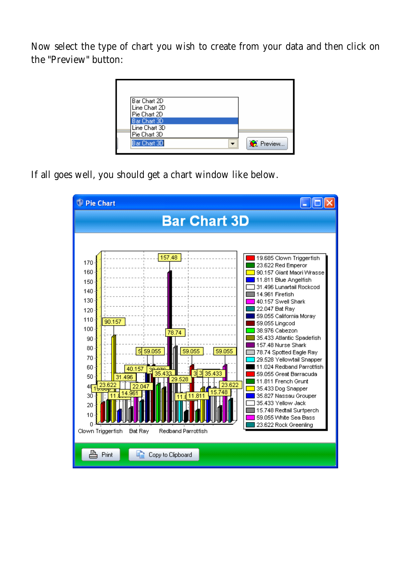Now select the type of chart you wish to create from your data and then click on the "Preview" button:

| l Bar Chart 2D.<br>Line Chart 2D<br>Pie Chart 2D              |                  |
|---------------------------------------------------------------|------------------|
| Bar Chart 3D<br>Line Chart 3D<br>Pie Chart 3D<br>Bar Chart 3D | <b>C</b> Preview |

If all goes well, you should get a chart window like below.

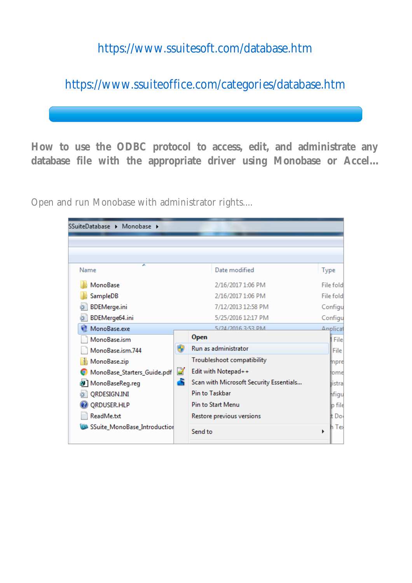# https://www.ssuitesoft.com/database.htm

https://www.ssuiteoffice.com/categories/database.htm

**How to use the ODBC protocol to access, edit, and administrate any database file with the appropriate driver using Monobase or Accel...**

Open and run Monobase with administrator rights....

| SSuiteDatabase > Monobase >  |   |                                         |             |
|------------------------------|---|-----------------------------------------|-------------|
|                              |   |                                         |             |
|                              |   |                                         |             |
| ▴<br>Name                    |   | Date modified                           | <b>Type</b> |
| MonoBase                     |   | 2/16/2017 1:06 PM                       | File fold   |
| SampleDB                     |   | 2/16/2017 1:06 PM                       | File fold   |
| <b>BDEMerge.ini</b>          |   | 7/12/2013 12:58 PM                      | Configu     |
| BDEMerge64.ini               |   | 5/25/2016 12:17 PM                      | Configu     |
| MonoBase.exe                 |   | 5/24/2016 3-53 PM                       | Anplicat    |
| MonoBase.ism                 |   | Open                                    | File        |
| MonoBase.ism.744             | ⊕ | Run as administrator                    | File        |
| MonoBase.zip                 |   | Troubleshoot compatibility              | mpre        |
| MonoBase_Starters_Guide.pdf  | P | Edit with Notepad++                     | lome        |
| 图 MonoBaseReg.reg            | 6 | Scan with Microsoft Security Essentials | listral     |
| QRDESIGN.INI                 |   | Pin to Taskbar                          | nfigu       |
| QRDUSER.HLP                  |   | <b>Pin to Start Menu</b>                | lp file     |
| ReadMe.txt                   |   | Restore previous versions               | tt Dol      |
| SSuite_MonoBase_Introduction |   | Send to                                 | Тe<br>٠     |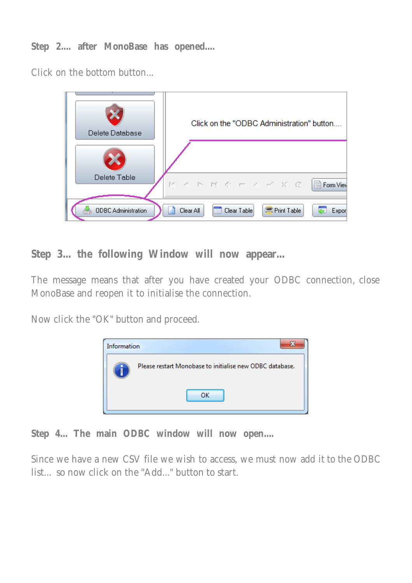**Step 2.... after MonoBase has opened....**

Click on the bottom button...



**Step 3... the following Window will now appear...**

The message means that after you have created your ODBC connection, close MonoBase and reopen it to initialise the connection.

Now click the "OK" button and proceed.



**Step 4... The main ODBC window will now open....**

Since we have a new CSV file we wish to access, we must now add it to the ODBC list... so now click on the "Add..." button to start.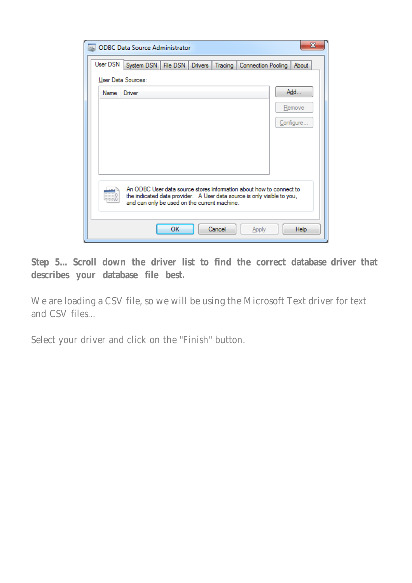|          | x<br><b>ODBC Data Source Administrator</b>                                                                                                                                                     |
|----------|------------------------------------------------------------------------------------------------------------------------------------------------------------------------------------------------|
| User DSN | System DSN   File DSN   Drivers  <br>Tracing   Connection Pooling<br>About                                                                                                                     |
|          | User Data Sources:                                                                                                                                                                             |
| Name     | Add<br>Driver                                                                                                                                                                                  |
|          | Remove                                                                                                                                                                                         |
|          | Configure                                                                                                                                                                                      |
|          |                                                                                                                                                                                                |
|          |                                                                                                                                                                                                |
|          |                                                                                                                                                                                                |
|          | An ODBC User data source stores information about how to connect to<br>the indicated data provider. A User data source is only visible to you,<br>and can only be used on the current machine. |
|          | ок<br>Cancel<br><b>Help</b><br>Apply                                                                                                                                                           |

**Step 5... Scroll down the driver list to find the correct database driver that describes your database file best.**

We are loading a CSV file, so we will be using the Microsoft Text driver for text and CSV files...

Select your driver and click on the "Finish" button.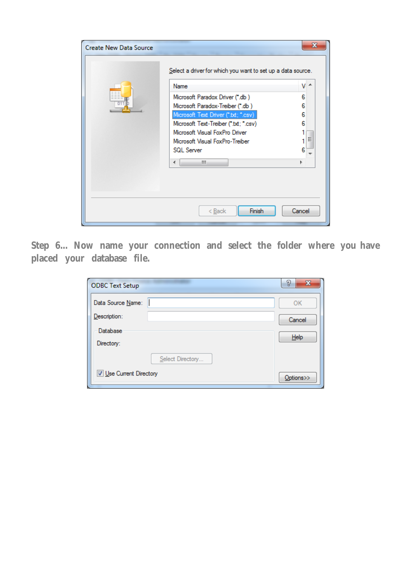| <b>Create New Data Source</b> | Select a driver for which you want to set up a data source.<br>Name<br>Microsoft Paradox Driver (*.db)<br>Microsoft Paradox-Treiber (*.db)<br>Microsoft Text Driver (".bt; ".csv)<br>Microsoft Text-Treiber (*.txt; *.csv)<br>Microsoft Visual FoxPro Driver<br>Microsoft Visual FoxPro-Treiber<br><b>SQL Server</b><br>m.<br>∢ | x<br>v<br>$\overline{\phantom{a}}$<br>6<br>6<br>6<br>6<br>Ξ<br>6 |
|-------------------------------|---------------------------------------------------------------------------------------------------------------------------------------------------------------------------------------------------------------------------------------------------------------------------------------------------------------------------------|------------------------------------------------------------------|
|                               | Finish<br>< <u>B</u> ack                                                                                                                                                                                                                                                                                                        | Cancel                                                           |

**Step 6... Now name your connection and select the folder where you have placed your database file.**

| <b>ODBC Text Setup</b>         | P<br>X            |
|--------------------------------|-------------------|
| Data Source Name:              | OK                |
| Description:                   | Cancel            |
| Database                       | $He$ <sub>p</sub> |
| Directory:                     |                   |
| Select Directory               |                   |
| <b>V</b> Use Current Directory | Options>>         |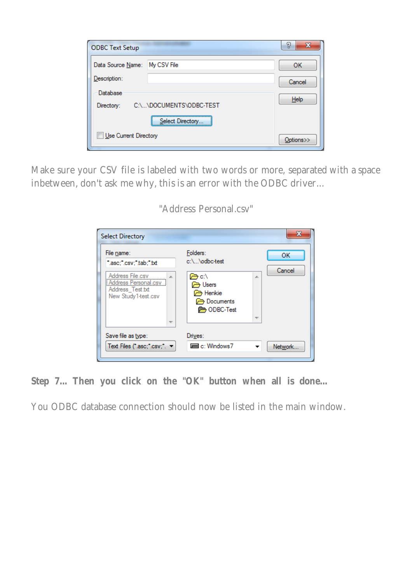| <b>ODBC Text Setup</b>                                      |                  | 8<br>x    |
|-------------------------------------------------------------|------------------|-----------|
| Data Source Name:                                           | My CSV File      | ок        |
| Description:                                                |                  | Cancel    |
| Database                                                    |                  |           |
| $He$ <sub>lp</sub><br>C:\\DOCUMENTS\ODBC-TEST<br>Directory: |                  |           |
|                                                             | Select Directory |           |
| Use Current Directory                                       |                  | Options>> |

Make sure your CSV file is labeled with two words or more, separated with a space inbetween, don't ask me why, this is an error with the ODBC driver...

| File name:<br>".asc;".csv;".tab;".bt                                                       | Folders:<br>c:\\odbc-test                                                          |    | OK     |
|--------------------------------------------------------------------------------------------|------------------------------------------------------------------------------------|----|--------|
| Address File.csv<br><b>Address Personal.csv</b><br>Address_Test.txt<br>New Study1-test.csv | re c:∖<br><b>B</b> Users<br>ি <del>স</del> Henkie<br>Documents<br><b>ODBC-Test</b> | A. | Cancel |
| Save file as type:                                                                         | Drives:                                                                            |    |        |

#### "Address Personal.csv"

**Step 7... Then you click on the "OK" button when all is done...**

You ODBC database connection should now be listed in the main window.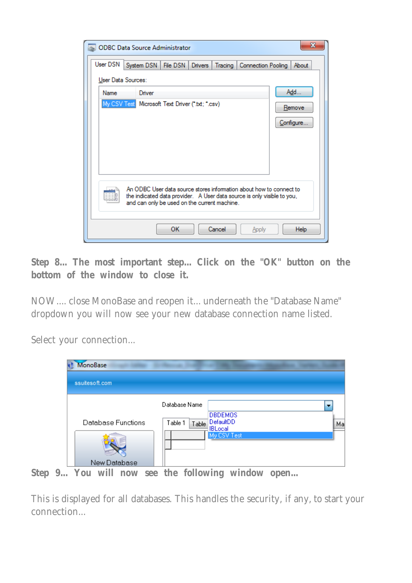|             | x<br><b>ODBC Data Source Administrator</b>                                                                                                     |
|-------------|------------------------------------------------------------------------------------------------------------------------------------------------|
| User DSN    | System DSN   File DSN   Drivers  <br>Tracing<br>Connection Pooling<br>About                                                                    |
|             | User Data Sources:                                                                                                                             |
| <b>Name</b> | Add<br>Driver                                                                                                                                  |
|             | My CSV Test Microsoft Text Driver ("txt; ".csv)<br>Remove                                                                                      |
|             | Configure                                                                                                                                      |
|             |                                                                                                                                                |
|             |                                                                                                                                                |
|             |                                                                                                                                                |
|             |                                                                                                                                                |
|             | An ODBC User data source stores information about how to connect to<br>the indicated data provider. A User data source is only visible to you, |
|             | and can only be used on the current machine.                                                                                                   |
|             |                                                                                                                                                |
|             | <b>OK</b><br>Cancel<br><b>Help</b><br>Apply                                                                                                    |

**Step 8... The most important step... Click on the "OK" button on the bottom of the window to close it.**

NOW.... close MonoBase and reopen it... underneath the "Database Name" dropdown you will now see your new database connection name listed.

Select your connection...

| <b>MonoBase</b><br>ssuitesoft.com  |                                                                                                   |                                |
|------------------------------------|---------------------------------------------------------------------------------------------------|--------------------------------|
| Database Functions<br>New Database | Database Name<br><b>DBDEMOS</b><br>DefaultDD<br>Table 1<br>Table<br><b>IBLocal</b><br>My CSV Test | $\overline{\phantom{a}}$<br>Ma |

**Step 9... You will now see the following window open...**

This is displayed for all databases. This handles the security, if any, to start your connection...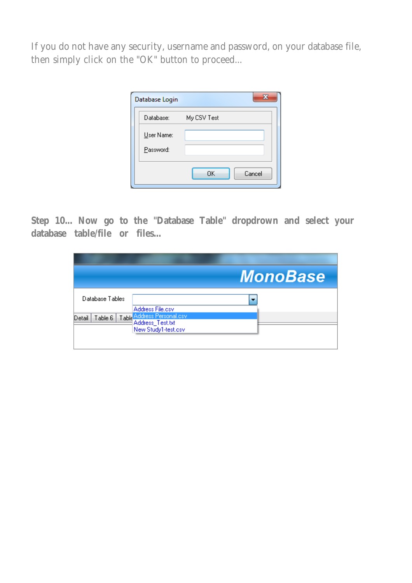If you do not have any security, username and password, on your database file, then simply click on the "OK" button to proceed...

| Database Login | x            |
|----------------|--------------|
| Database:      | My CSV Test  |
| User Name:     |              |
| Password:      |              |
|                | OK<br>Cancel |

**Step 10... Now go to the "Database Table" dropdrown and select your database table/file or files...**

| <b>MonoBase</b> |
|-----------------|
| ٠               |
|                 |
|                 |
|                 |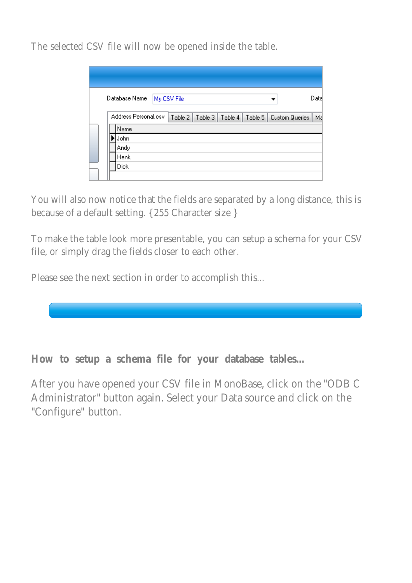The selected CSV file will now be opened inside the table.

| Database Name        | My CSV File |         |         |         |                | Data |
|----------------------|-------------|---------|---------|---------|----------------|------|
| Address Personal.csv | Table 2     | Table 3 | Table 4 | Table 5 | Custom Queries | Ma   |
| Name                 |             |         |         |         |                |      |
| John                 |             |         |         |         |                |      |
| Andy                 |             |         |         |         |                |      |
| Henk                 |             |         |         |         |                |      |
| Dick                 |             |         |         |         |                |      |
|                      |             |         |         |         |                |      |

You will also now notice that the fields are separated by a long distance, this is because of a default setting. { 255 Character size }

To make the table look more presentable, you can setup a schema for your CSV file, or simply drag the fields closer to each other.

Please see the next section in order to accomplish this...



**How to setup a schema file for your database tables...**

After you have opened your CSV file in MonoBase, click on the "ODB C Administrator" button again. Select your Data source and click on the "Configure" button.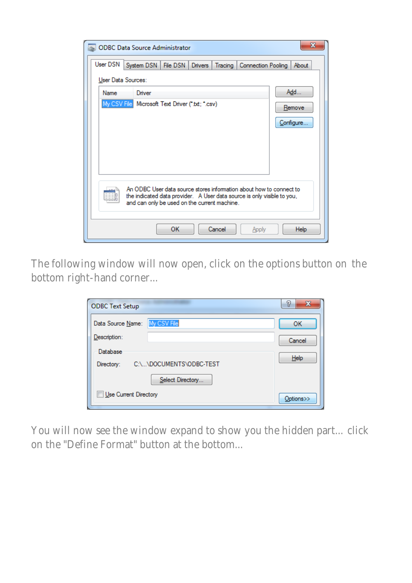| x<br><b>ODBC Data Source Administrator</b>                                                                                                     |                                                                           |  |  |  |  |
|------------------------------------------------------------------------------------------------------------------------------------------------|---------------------------------------------------------------------------|--|--|--|--|
| User DSN                                                                                                                                       | System DSN   File DSN   Drivers<br>Tracing<br>Connection Pooling<br>About |  |  |  |  |
|                                                                                                                                                | User Data Sources:                                                        |  |  |  |  |
| <b>Name</b>                                                                                                                                    | Add<br>Driver                                                             |  |  |  |  |
|                                                                                                                                                | My CSV File Microsoft Text Driver (*.txt; *.csv)<br>Remove                |  |  |  |  |
|                                                                                                                                                |                                                                           |  |  |  |  |
|                                                                                                                                                | Configure                                                                 |  |  |  |  |
|                                                                                                                                                |                                                                           |  |  |  |  |
|                                                                                                                                                |                                                                           |  |  |  |  |
|                                                                                                                                                |                                                                           |  |  |  |  |
|                                                                                                                                                |                                                                           |  |  |  |  |
| An ODBC User data source stores information about how to connect to<br>the indicated data provider. A User data source is only visible to you, |                                                                           |  |  |  |  |
| and can only be used on the current machine.                                                                                                   |                                                                           |  |  |  |  |
|                                                                                                                                                |                                                                           |  |  |  |  |
|                                                                                                                                                | ОΚ<br>Cancel<br>Help<br>Apply                                             |  |  |  |  |

The following window will now open, click on the options button on the bottom right-hand corner...

| <b>ODBC Text Setup</b>                | P<br>X             |
|---------------------------------------|--------------------|
| My CSV File<br>Data Source Name:      | OK                 |
| Description:                          | Cancel             |
| Database                              | $He$ <sub>lp</sub> |
| C:\\DOCUMENTS\ODBC-TEST<br>Directory: |                    |
| Select Directory                      |                    |
| Use Current Directory                 | Options>>          |

You will now see the window expand to show you the hidden part... click on the "Define Format" button at the bottom...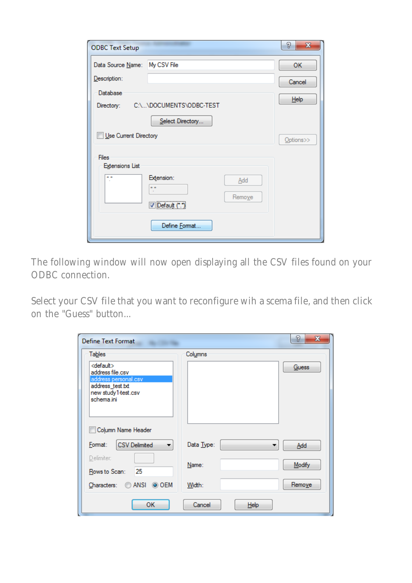| <b>ODBC Text Setup</b>                 |                                              | P<br>$\mathbf{x}$ |
|----------------------------------------|----------------------------------------------|-------------------|
| Data Source Name: My CSV File          |                                              | OK                |
| Description:                           |                                              | Cancel            |
| Database                               |                                              | $He$ <sub>p</sub> |
| Directory:                             | C:\\DOCUMENTS\ODBC-TEST                      |                   |
|                                        | Select Directory                             |                   |
| Use Current Directory                  |                                              | Options>>         |
| <b>Files</b><br><b>Extensions List</b> |                                              |                   |
|                                        | Extension:<br>Add<br>Remove<br>Default (*.*) |                   |
|                                        | Define Format                                |                   |

The following window will now open displaying all the CSV files found on your ODBC connection.

Select your CSV file that you want to reconfigure wih a scema file, and then click on the "Guess" button...

| <b>Define Text Format</b>                                                     |                              | 8<br>$\mathbf{x}$ |
|-------------------------------------------------------------------------------|------------------------------|-------------------|
| <b>Tables</b>                                                                 | Columns                      |                   |
| <default><br/>address file.csv</default>                                      |                              | <b>Guess</b>      |
| address personal.csv<br>address_test.txt<br>new study1-test.csv<br>schema.ini |                              |                   |
| Column Name Header                                                            |                              |                   |
| <b>CSV Delimited</b><br>Format:<br>۰.                                         | Data Type:<br>▼              | Add               |
| Delimiter:<br>25<br>Rows to Scan:                                             | Name:                        | Modify            |
| $\odot$ ansi<br>◎ OEM<br>Characters:                                          | Width:                       | Remove            |
| ок                                                                            | Cancel<br>$He$ <sub>lp</sub> |                   |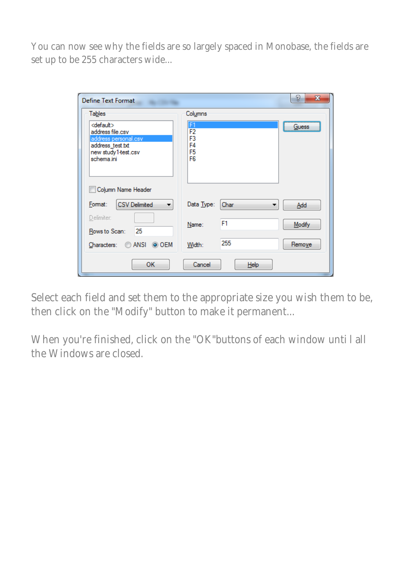You can now see why the fields are so largely spaced in Monobase, the fields are set up to be 255 characters wide...

| ?<br>$\mathbf x$<br>Define Text Format                                                                                        |                                                                      |        |  |  |  |  |
|-------------------------------------------------------------------------------------------------------------------------------|----------------------------------------------------------------------|--------|--|--|--|--|
| <b>Tables</b>                                                                                                                 | Columns                                                              |        |  |  |  |  |
| <default><br/>address file.csv<br/>address personal.csv<br/>address_test.txt<br/>new study1-test.csv<br/>schema.ini</default> | F <sub>1</sub><br>F2<br>F3<br>F4<br>F <sub>5</sub><br>F <sub>6</sub> | Guess  |  |  |  |  |
| Column Name Header                                                                                                            |                                                                      |        |  |  |  |  |
| <b>CSV Delimited</b><br>Format:<br>▼                                                                                          | Data Type:<br>Char                                                   | Add    |  |  |  |  |
| Delimiter:<br>25<br>Rows to Scan:                                                                                             | F1<br>Name:                                                          | Modify |  |  |  |  |
| ANSI<br>◎ OEM<br>Characters:                                                                                                  | 255<br>Width:                                                        | Remove |  |  |  |  |
| ОК                                                                                                                            | Cancel<br><b>Help</b>                                                |        |  |  |  |  |

Select each field and set them to the appropriate size you wish them to be, then click on the "Modify" button to make it permanent...

When you're finished, click on the "OK"buttons of each window unti l all the Windows are closed.